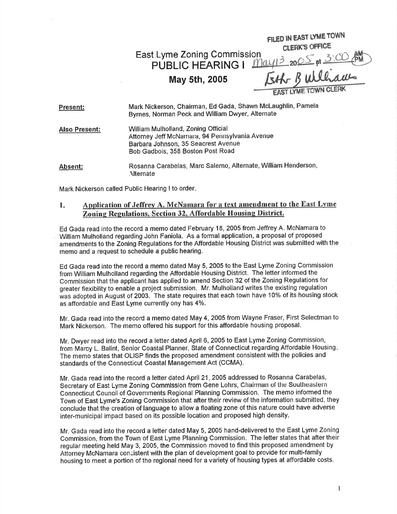East Lyme Zoning Commis PUBLIC HEARING <sup>I</sup> FILED IN EAST LYME TOWN<br>CLERK'S OFFICE  $\underline{\mathbb{C}}$  $346$ 

## May sth, 2005

| Present:             | Mark Nickerson, Chairman, Ed Gada, Shawn McLaughlin, Pamela<br>Byrnes, Norman Peck and William Dwyer, Alternate                                                   |
|----------------------|-------------------------------------------------------------------------------------------------------------------------------------------------------------------|
| <b>Also Present:</b> | William Mulholland, Zoning Official<br>Attorney Jeff McNamara, 94 Pennsylvania Avenue<br>Barbara Johnson, 35 Seacrest Avenue<br>Bob Gadbois, 358 Boston Post Road |
| Absent:              | Rosanna Carabelas, Marc Salerno, Alternate, William Henderson,<br>Alternate                                                                                       |

Mark Nickerson called Public Hearing I to order

## 1. Application of Jeffrey A. McNamara for a text amendment to the East Lyme Zoning Regulations, Section 32, Affordable Housing District.

Ed Gada read into the record a memo dated February 18, 2005 from Jeffrey A. McNamara to William Mulholland regarding John Faniola. As a formal application, a proposal of proposed amendments to the Zoning Regulations for the Affordable Housing District was submitted with the memo and a request to schedule a public hearing.

Ed Gada read into the record a memo dated May 5, 2005 to the East Lyme Zoning Commission from William Mulholland regarding the Affordable Housing District, The letter informed the Commission that the applicant has applied to amend Section 32 of the Zoning Regulations for greater flexibility to enable a project submission. Mr. Mulholland writes the existing regulation was adopted in August of 2003. The state requires that each town have 10% of its housing stock as affordable and East Lyme currently ony has 4%.

Mr. Gada read into the record a memo dated May 4,2005 from Wayne Fraser, First Selectman to Mark Nickerson. The memo offered his support for this affordable housing proposal.

Mr. Dwyer read into the record a letter dated April 6, 2005 to East Lyme Zoning Commission, from Marcy L. Balint, Senior Coastal Planner, State of Connecticut regarding Affordable Housing The memo states that OLISP finds the proposed amendment consistent with the policies and standards of the Connecticut Coastal Management Act (CCMA).

Mr. Gada read into the record a letter dated April 21,2005 addressed to Rosanna Carabelas, Secretary of East Lyme Zoning Commission from Gene Lohrs, Chairman of the Southeastern Connecticut Council of Governments Regional Planning Commission. The memo informed the Town of East Lyme's Zoning Commission that after their review of the information submitted, they conclude that the creation of language to allow a floating zone of this nature could have adverse inter-municipal impact based on its possible location and proposed high density.

Mr. Gada read into the record a letter dated May 5, 2005 hand-delivered to the East Lyme Zoning Commission, from the Town of East Lyme Planning Commission. The letter states that after their regular meeting held May 3, 2005, the Commission moved to find this proposed amendment by Attorney McNamara consistent with the plan of development goal to provide for multi-family housing to meet a portion of the regional need for a variety of housing types at affordable costs.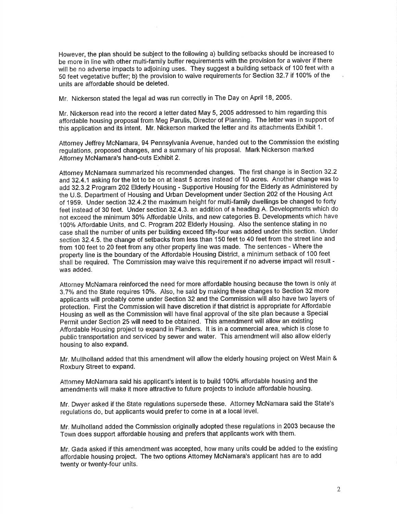However, the plan should be subject to the following a) building setbacks should be increased to be more in line with other multi-family buffer requirements with the provision for a waiver if there will be no adverse impacts to adjoining uses. They suggest a building setback of 100 feet with a 50 feet vegetative buffer; b) the provision to waive requirements for Section 32.7 if 100% of the units are affordable should be deleted.

Mr. Nickerson stated the legal ad was run correctly in The Day on April 18, 2005.

Mr. Nickerson read into the record a letter dated May 5, 2005 addressed to him regarding this affordable housing proposal from Meg Parulis, Director of Planning. The letter was in support of this application and its intent. Mr. Nickerson marked the letter and its attachments Exhibit 1.

Attorney Jeffrey McNamara, 94 Pennsylvania Avenue, handed out to the Commission the existing regulations, proposed changes, and a summary of his proposal. Mark Nickerson marked Attorney McNamara's hand-outs Exhibit 2.

Attorney McNamara summarized his recommended changes. The first change is in Section 32.2 and 32.4.1 asking for the lot to be on at least 5 acres instead of 10 acres. Another change was to add 32.3.2 Program 202 Elderly Housing - Supportive Housing for the Elderly as Administered by the U.S. Department of Housing and Urban Development under Section 202 of the Housing Act of 1959. Under section 32.4.2 the maximum height for multi-family dwellings be changed to forty feet instead of 30 feet. Under section 32.4.3. an addition of a heading A. Developments which do not exceed the minimum 30% Affordable Units, and new categories B. Developments which have 100% Affordable Units, and C. Program 202 Elderly Housing. Also the sentence stating in no case shall the number of units per building exceed fifty-four was added under this section. Under section 32.4.5. the change of setbacks from less than 150 feet to 40 feet from the street line and from 100 feet to 20 feet from any other property line was made. The sentences - Where the property line is the boundary of the Affordable Housing District, a minimum setback of 100 feet shall be required. The Commission may waive this requirement if no adverse impact will result was added.

Attorney McNamara reinforced the need for more affordable housing because the town is only at 3.7% and the State requires 10%. Also, he said by making these changes to Section 32 more applicants will probably come under Section 32 and the Commission will also have two layers of protection. First the Gommission will have discretion if that district is appropriate for Affordable Housing as well as the Commission will have final approval of the site plan because a Special Permit under Section 25 will need to be obtained. This amendment will allow an existing Affordable Housing project to expand in Flanders. lt is in a commercial area, which is close to public transportation and serviced by sewer and water. This amendment will also allow elderly housing to also expand.

Mr. Mullholland added that this amendment will allow the elderly housing project on West Main & Roxbury Street to expand.

Attorney McNamara said his applicant's intent is to build 100% affordable housing and the amendments will make it more aftractive to future projects to include affordable housing.

Mr. Dwyer asked if the State regulations supersede these. Attorney McNamara said the State's regulations do, but applicants would prefer to come in at a local level.

Mr. Mulholland added the Commission originally adopted these regulations in 2003 because the Town does support affordable housing and prefers that applicants work with them.

Mr. Gada asked if this amendment was accepted, how many units could be added to the existing affordable housing project. The two options Attorney McNamara's applicant has are to add twenty or twenty-four units.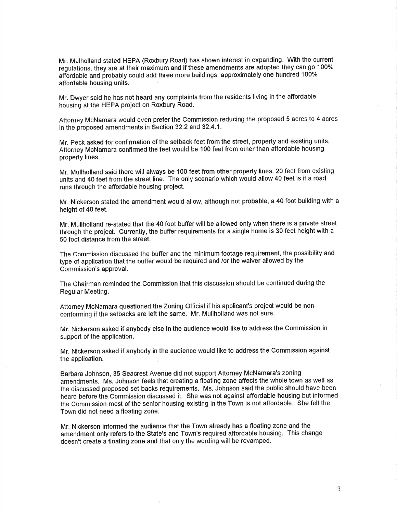Mr. Mulholland stated HEPA (Roxbury Road) has shown interest in expanding. With the current regulations, they are at their maximum and if these amendments are adopted they can go 100% affordable and probably could add three more buildings, approximately one hundred 100% affordable housing units.

Mr. Dwyer said he has not heard any complaints from the residents living in the affordable housing at the HEPA project on Roxbury Road.

Attorney McNamara would even prefer the Commission reducing the proposed 5 acres to 4 acres in the proposed amendments in Section 32.2 and 32.4.1.

Mr. Peck asked for confirmation of the setback feet from the street, property and existing units. Attorney McNamara confirmed the feet would be 100 feet from other than affordable housing property lines.

Mr. Mullholland said there will always be 100 feet from other property lines, 20 feet from existing units and 40 feet from the street line. The only scenario which would allow 40 feet is if a road runs through the affordable housing project.

Mr. Nickerson stated the amendment would allow, although not probable, a 40 foot building with a height of 40 feet.

Mr. Mullholland re-stated that the 40 foot buffer will be allowed only when there is a private street through the project. Currently, the buffer requirements for a single home is 30 feet height with a 50 foot distance from the street.

The Commission discussed the buffer and the minimum footage requirement, the possibility and type of application that the buffer would be required and /or the waiver allowed by the Commission's approval.

The Chairman reminded the Commission that this discussion should be continued during the Regular Meeting.

Attorney McNamara questioned the Zoning Official if his applicant's project would be nonconforming if the setbacks are left the same. Mr, Mullholland was not sure.

Mr. Nickerson asked if anybody else in the audience would like to address the Commission in support of the application.

Mr. Nickerson asked if anybody in the audience would like to address the Commission against the application.

Barbara Johnson, 35 Seacrest Avenue did not support Attorney McNamara's zoning amendments. Ms. Johnson feels that creating a floating zone affects the whole town as well as the discussed proposed set backs requirements. Ms. Johnson said the public should have been heard before the Commission discussed it. She was not against affordable housing but informed the Commission most of the senior housing existing in the Town is not affordable. She felt the Town did not need a floating zone.

Mr. Nickerson informed the audience that the Town already has a floating zone and the amendment only refers to the State's and Town's required affordable housing, This change doesn't create a floating zone and that only the wording will be revamped.

3